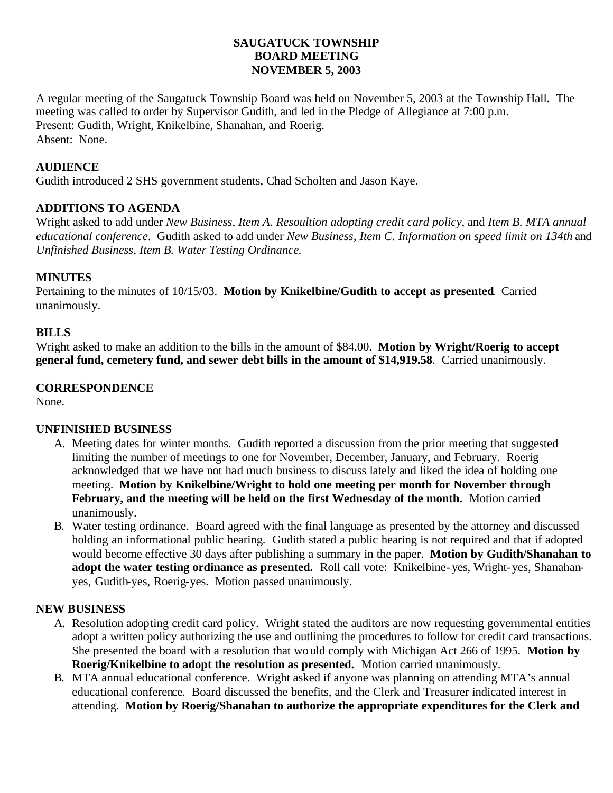# **SAUGATUCK TOWNSHIP BOARD MEETING NOVEMBER 5, 2003**

A regular meeting of the Saugatuck Township Board was held on November 5, 2003 at the Township Hall. The meeting was called to order by Supervisor Gudith, and led in the Pledge of Allegiance at 7:00 p.m. Present: Gudith, Wright, Knikelbine, Shanahan, and Roerig. Absent: None.

### **AUDIENCE**

Gudith introduced 2 SHS government students, Chad Scholten and Jason Kaye.

#### **ADDITIONS TO AGENDA**

Wright asked to add under *New Business, Item A. Resoultion adopting credit card policy*, and *Item B. MTA annual educational conference*. Gudith asked to add under *New Business, Item C. Information on speed limit on 134th* and *Unfinished Business, Item B. Water Testing Ordinance.*

#### **MINUTES**

Pertaining to the minutes of 10/15/03. **Motion by Knikelbine/Gudith to accept as presented**. Carried unanimously.

#### **BILLS**

Wright asked to make an addition to the bills in the amount of \$84.00. **Motion by Wright/Roerig to accept general fund, cemetery fund, and sewer debt bills in the amount of \$14,919.58**. Carried unanimously.

#### **CORRESPONDENCE**

None.

# **UNFINISHED BUSINESS**

- A. Meeting dates for winter months. Gudith reported a discussion from the prior meeting that suggested limiting the number of meetings to one for November, December, January, and February. Roerig acknowledged that we have not had much business to discuss lately and liked the idea of holding one meeting. **Motion by Knikelbine/Wright to hold one meeting per month for November through February, and the meeting will be held on the first Wednesday of the month.** Motion carried unanimously.
- B. Water testing ordinance. Board agreed with the final language as presented by the attorney and discussed holding an informational public hearing. Gudith stated a public hearing is not required and that if adopted would become effective 30 days after publishing a summary in the paper. **Motion by Gudith/Shanahan to adopt the water testing ordinance as presented.** Roll call vote: Knikelbine-yes, Wright-yes, Shanahanyes, Gudith-yes, Roerig-yes. Motion passed unanimously.

# **NEW BUSINESS**

- A. Resolution adopting credit card policy. Wright stated the auditors are now requesting governmental entities adopt a written policy authorizing the use and outlining the procedures to follow for credit card transactions. She presented the board with a resolution that would comply with Michigan Act 266 of 1995. **Motion by Roerig/Knikelbine to adopt the resolution as presented.** Motion carried unanimously.
- B. MTA annual educational conference. Wright asked if anyone was planning on attending MTA's annual educational conference. Board discussed the benefits, and the Clerk and Treasurer indicated interest in attending. **Motion by Roerig/Shanahan to authorize the appropriate expenditures for the Clerk and**